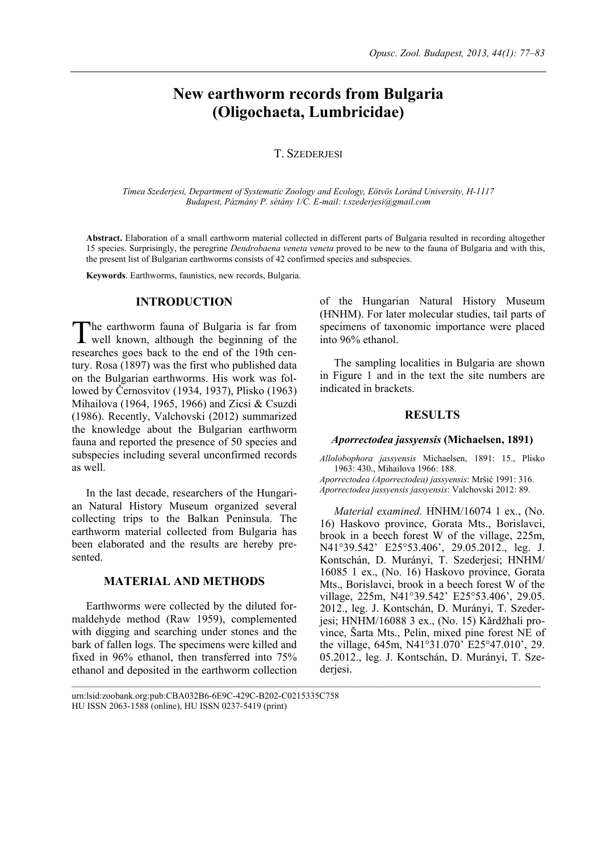# **New earthworm records from Bulgaria (Oligochaeta, Lumbricidae)**

### **T. SZEDERIESI**

*Tímea Szederjesi, Department of Systematic Zoology and Ecology, Eötvös Loránd University, H-1117 Budapest, Pázmány P. sétány 1/C. E-mail: t.szederjesi@gmail.com* 

**Abstract.** Elaboration of a small earthworm material collected in different parts of Bulgaria resulted in recording altogether 15 species. Surprisingly, the peregrine *Dendrobaena veneta veneta* proved to be new to the fauna of Bulgaria and with this, the present list of Bulgarian earthworms consists of 42 confirmed species and subspecies.

**Keywords**. Earthworms, faunistics, new records, Bulgaria.

### **INTRODUCTION**

he earthworm fauna of Bulgaria is far from The earthworm fauna of Bulgaria is far from<br>well known, although the beginning of the researches goes back to the end of the 19th century. Rosa (1897) was the first who published data on the Bulgarian earthworms. His work was followed by Černosvitov (1934, 1937), Plisko (1963) Mihailova (1964, 1965, 1966) and Zicsi & Csuzdi (1986). Recently, Valchovski (2012) summarized the knowledge about the Bulgarian earthworm fauna and reported the presence of 50 species and subspecies including several unconfirmed records as well.

In the last decade, researchers of the Hungarian Natural History Museum organized several collecting trips to the Balkan Peninsula. The earthworm material collected from Bulgaria has been elaborated and the results are hereby presented.

## **MATERIAL AND METHODS**

Earthworms were collected by the diluted formaldehyde method (Raw 1959), complemented with digging and searching under stones and the bark of fallen logs. The specimens were killed and fixed in 96% ethanol, then transferred into 75% ethanol and deposited in the earthworm collection of the Hungarian Natural History Museum (HNHM). For later molecular studies, tail parts of specimens of taxonomic importance were placed into 96% ethanol.

The sampling localities in Bulgaria are shown in Figure 1 and in the text the site numbers are indicated in brackets.

### **RESULTS**

#### *Aporrectodea jassyensis* **(Michaelsen, 1891)**

*Allolobophora jassyensis* Michaelsen, 1891: 15., Plisko 1963: 430., Mihailova 1966: 188. *Aporrectodea (Aporrectodea) jassyensis*: Mršić 1991: 316. *Aporrectodea jassyensis jassyensis*: Valchovski 2012: 89.

*Material examined.* HNHM/16074 1 ex., (No. 16) Haskovo province, Gorata Mts., Borislavci, brook in a beech forest W of the village, 225m, N41°39.542' E25°53.406', 29.05.2012., leg. J. Kontschán, D. Murányi, T. Szederjesi; HNHM/ 16085 1 ex., (No. 16) Haskovo province, Gorata Mts., Borislavci, brook in a beech forest W of the village, 225m, N41°39.542' E25°53.406', 29.05. 2012., leg. J. Kontschán, D. Murányi, T. Szederjesi; HNHM/16088 3 ex., (No. 15) Kǎrdžhali province, Šarta Mts., Pelin, mixed pine forest NE of the village, 645m, N41°31.070' E25°47.010', 29. 05.2012., leg. J. Kontschán, D. Murányi, T. Szederjesi.

urn:lsid:zoobank.org:pub:CBA032B6-6E9C-429C-B202-C0215335C758 HU ISSN 2063-1588 (online), HU ISSN 0237-5419 (print)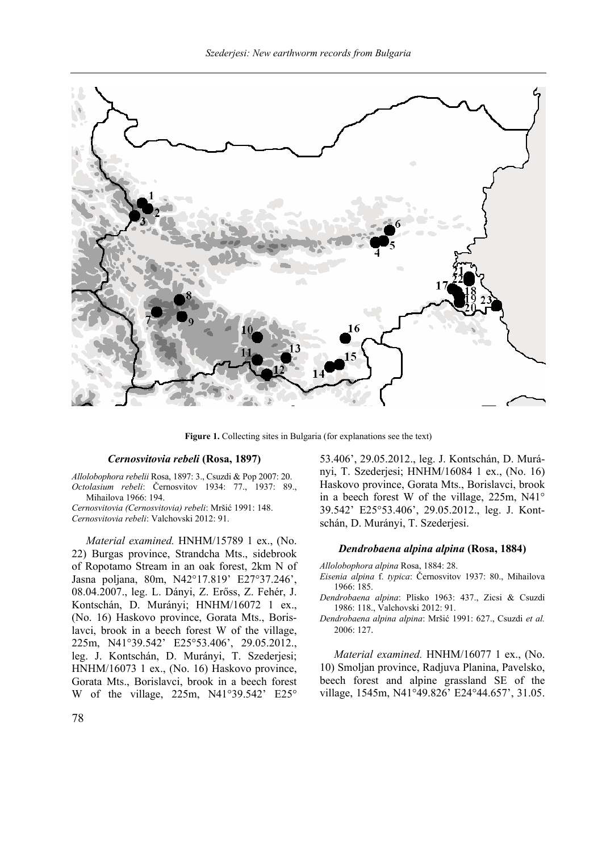

**Figure 1.** Collecting sites in Bulgaria (for explanations see the text)

### *Cernosvitovia rebeli* **(Rosa, 1897)**

*Allolobophora rebelii* Rosa, 1897: 3., Csuzdi & Pop 2007: 20. *Octolasium rebeli*: Černosvitov 1934: 77., 1937: 89., Mihailova 1966: 194.

*Cernosvitovia (Cernosvitovia) rebeli*: Mršić 1991: 148. *Cernosvitovia rebeli*: Valchovski 2012: 91.

*Material examined.* HNHM/15789 1 ex., (No. 22) Burgas province, Strandcha Mts., sidebrook of Ropotamo Stream in an oak forest, 2km N of Jasna poljana, 80m, N42°17.819' E27°37.246', 08.04.2007., leg. L. Dányi, Z. Erőss, Z. Fehér, J. Kontschán, D. Murányi; HNHM/16072 1 ex., (No. 16) Haskovo province, Gorata Mts., Borislavci, brook in a beech forest W of the village, 225m, N41°39.542' E25°53.406', 29.05.2012., leg. J. Kontschán, D. Murányi, T. Szederjesi; HNHM/16073 1 ex., (No. 16) Haskovo province, Gorata Mts., Borislavci, brook in a beech forest W of the village, 225m, N41°39.542' E25°

53.406', 29.05.2012., leg. J. Kontschán, D. Murányi, T. Szederjesi; HNHM/16084 1 ex., (No. 16) Haskovo province, Gorata Mts., Borislavci, brook in a beech forest W of the village, 225m, N41° 39.542' E25°53.406', 29.05.2012., leg. J. Kontschán, D. Murányi, T. Szederjesi.

#### *Dendrobaena alpina alpina* **(Rosa, 1884)**

*Allolobophora alpina* Rosa, 1884: 28.

- *Eisenia alpina* f. *typica*: Černosvitov 1937: 80., Mihailova 1966: 185.
- *Dendrobaena alpina*: Plisko 1963: 437., Zicsi & Csuzdi 1986: 118., Valchovski 2012: 91.
- *Dendrobaena alpina alpina*: Mršić 1991: 627., Csuzdi *et al.* 2006: 127.

*Material examined.* HNHM/16077 1 ex., (No. 10) Smoljan province, Radjuva Planina, Pavelsko, beech forest and alpine grassland SE of the village, 1545m, N41°49.826' E24°44.657', 31.05.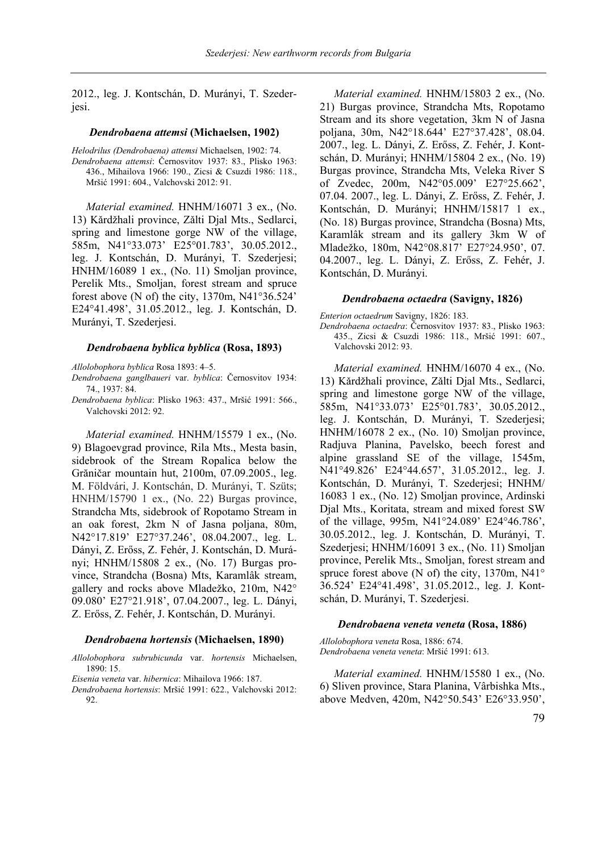2012., leg. J. Kontschán, D. Murányi, T. Szederjesi.

#### *Dendrobaena attemsi* **(Michaelsen, 1902)**

*Helodrilus (Dendrobaena) attemsi* Michaelsen, 1902: 74. *Dendrobaena attemsi*: Černosvitov 1937: 83., Plisko 1963: 436., Mihailova 1966: 190., Zicsi & Csuzdi 1986: 118., Mršić 1991: 604., Valchovski 2012: 91.

*Material examined.* HNHM/16071 3 ex., (No. 13) Kǎrdžhali province, Zǎlti Djal Mts., Sedlarci, spring and limestone gorge NW of the village, 585m, N41°33.073' E25°01.783', 30.05.2012., leg. J. Kontschán, D. Murányi, T. Szederjesi; HNHM/16089 1 ex., (No. 11) Smoljan province, Perelik Mts., Smoljan, forest stream and spruce forest above (N of) the city, 1370m, N41°36.524' E24°41.498', 31.05.2012., leg. J. Kontschán, D. Murányi, T. Szederjesi.

#### *Dendrobaena byblica byblica* **(Rosa, 1893)**

*Allolobophora byblica* Rosa 1893: 4–5.

- *Dendrobaena ganglbaueri* var. *byblica*: Černosvitov 1934: 74., 1937: 84.
- *Dendrobaena byblica*: Plisko 1963: 437., Mršić 1991: 566., Valchovski 2012: 92.

*Material examined.* HNHM/15579 1 ex., (No. 9) Blagoevgrad province, Rila Mts., Mesta basin, sidebrook of the Stream Ropalica below the Grăničar mountain hut, 2100m, 07.09.2005., leg. M. Földvári, J. Kontschán, D. Murányi, T. Szüts; HNHM/15790 1 ex., (No. 22) Burgas province, Strandcha Mts, sidebrook of Ropotamo Stream in an oak forest, 2km N of Jasna poljana, 80m, N42°17.819' E27°37.246', 08.04.2007., leg. L. Dányi, Z. Erőss, Z. Fehér, J. Kontschán, D. Murányi; HNHM/15808 2 ex., (No. 17) Burgas province, Strandcha (Bosna) Mts, Karamlâk stream, gallery and rocks above Mladežko, 210m, N42° 09.080' E27°21.918', 07.04.2007., leg. L. Dányi, Z. Erőss, Z. Fehér, J. Kontschán, D. Murányi.

#### *Dendrobaena hortensis* **(Michaelsen, 1890)**

*Allolobophora subrubicunda* var. *hortensis* Michaelsen, 1890: 15.

*Eisenia veneta* var. *hibernica*: Mihailova 1966: 187.

*Dendrobaena hortensis*: Mršić 1991: 622., Valchovski 2012: 92.

*Material examined.* HNHM/15803 2 ex., (No. 21) Burgas province, Strandcha Mts, Ropotamo Stream and its shore vegetation, 3km N of Jasna poljana, 30m, N42°18.644' E27°37.428', 08.04. 2007., leg. L. Dányi, Z. Erőss, Z. Fehér, J. Kontschán, D. Murányi; HNHM/15804 2 ex., (No. 19) Burgas province, Strandcha Mts, Veleka River S of Zvedec, 200m, N42°05.009' E27°25.662', 07.04. 2007., leg. L. Dányi, Z. Erőss, Z. Fehér, J. Kontschán, D. Murányi; HNHM/15817 1 ex., (No. 18) Burgas province, Strandcha (Bosna) Mts, Karamlâk stream and its gallery 3km W of Mladežko, 180m, N42°08.817' E27°24.950', 07. 04.2007., leg. L. Dányi, Z. Erőss, Z. Fehér, J. Kontschán, D. Murányi.

#### *Dendrobaena octaedra* **(Savigny, 1826)**

*Enterion octaedrum* Savigny, 1826: 183.

*Dendrobaena octaedra*: Černosvitov 1937: 83., Plisko 1963: 435., Zicsi & Csuzdi 1986: 118., Mršić 1991: 607., Valchovski 2012: 93.

*Material examined.* HNHM/16070 4 ex., (No. 13) Kǎrdžhali province, Zǎlti Djal Mts., Sedlarci, spring and limestone gorge NW of the village, 585m, N41°33.073' E25°01.783', 30.05.2012., leg. J. Kontschán, D. Murányi, T. Szederjesi; HNHM/16078 2 ex., (No. 10) Smoljan province, Radjuva Planina, Pavelsko, beech forest and alpine grassland SE of the village, 1545m, N41°49.826' E24°44.657', 31.05.2012., leg. J. Kontschán, D. Murányi, T. Szederjesi; HNHM/ 16083 1 ex., (No. 12) Smoljan province, Ardinski Djal Mts., Koritata, stream and mixed forest SW of the village, 995m, N41°24.089' E24°46.786', 30.05.2012., leg. J. Kontschán, D. Murányi, T. Szederjesi; HNHM/16091 3 ex., (No. 11) Smoljan province, Perelik Mts., Smoljan, forest stream and spruce forest above (N of) the city,  $1370m$ ,  $N41^{\circ}$ 36.524' E24°41.498', 31.05.2012., leg. J. Kontschán, D. Murányi, T. Szederjesi.

#### *Dendrobaena veneta veneta* **(Rosa, 1886)**

*Allolobophora veneta* Rosa, 1886: 674. *Dendrobaena veneta veneta*: Mršić 1991: 613.

*Material examined.* HNHM/15580 1 ex., (No. 6) Sliven province, Stara Planina, Vârbishka Mts., above Medven, 420m, N42°50.543' E26°33.950',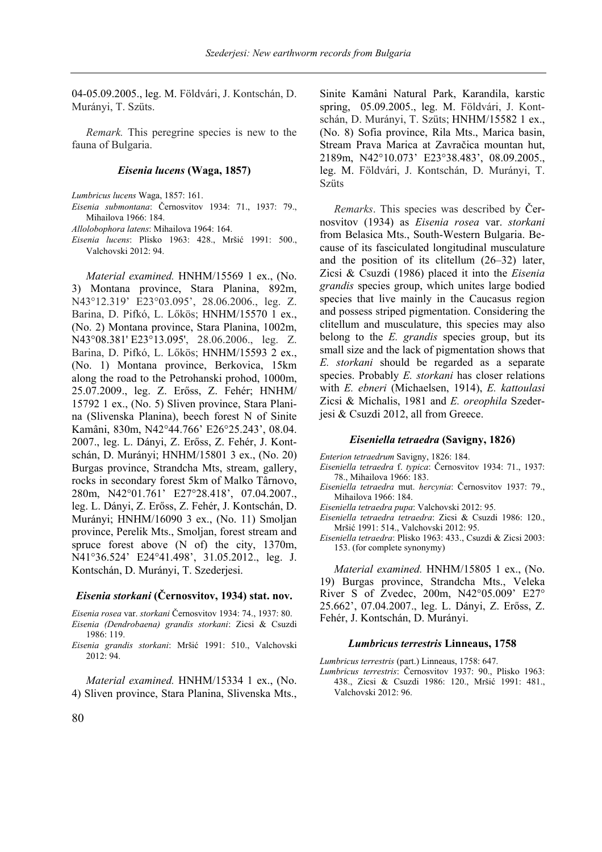04-05.09.2005., leg. M. Földvári, J. Kontschán, D. Murányi, T. Szüts.

*Remark.* This peregrine species is new to the fauna of Bulgaria.

### *Eisenia lucens* **(Waga, 1857)**

*Lumbricus lucens* Waga, 1857: 161.

*Eisenia submontana*: Černosvitov 1934: 71., 1937: 79., Mihailova 1966: 184.

*Allolobophora latens*: Mihailova 1964: 164.

*Eisenia lucens*: Plisko 1963: 428., Mršić 1991: 500., Valchovski 2012: 94.

*Material examined.* HNHM/15569 1 ex., (No. 3) Montana province, Stara Planina, 892m, N43°12.319' E23°03.095', 28.06.2006., leg. Z. Barina, D. Pifkó, L. Lőkös; HNHM/15570 1 ex., (No. 2) Montana province, Stara Planina, 1002m, N43°08.381' E23°13.095', 28.06.2006., leg. Z. Barina, D. Pifkó, L. Lőkös; HNHM/15593 2 ex., (No. 1) Montana province, Berkovica, 15km along the road to the Petrohanski prohod, 1000m, 25.07.2009., leg. Z. Erőss, Z. Fehér; HNHM/ 15792 1 ex., (No. 5) Sliven province, Stara Planina (Slivenska Planina), beech forest N of Sinite Kamâni, 830m, N42°44.766' E26°25.243', 08.04. 2007., leg. L. Dányi, Z. Erőss, Z. Fehér, J. Kontschán, D. Murányi; HNHM/15801 3 ex., (No. 20) Burgas province, Strandcha Mts, stream, gallery, rocks in secondary forest 5km of Malko Târnovo, 280m, N42°01.761' E27°28.418', 07.04.2007., leg. L. Dányi, Z. Erőss, Z. Fehér, J. Kontschán, D. Murányi; HNHM/16090 3 ex., (No. 11) Smoljan province, Perelik Mts., Smoljan, forest stream and spruce forest above (N of) the city, 1370m, N41°36.524' E24°41.498', 31.05.2012., leg. J. Kontschán, D. Murányi, T. Szederjesi.

#### *Eisenia storkani* **(Černosvitov, 1934) stat. nov.**

*Eisenia rosea* var. *storkani* Černosvitov 1934: 74., 1937: 80.

- *Eisenia (Dendrobaena) grandis storkani*: Zicsi & Csuzdi 1986: 119.
- *Eisenia grandis storkani*: Mršić 1991: 510., Valchovski 2012: 94.

*Material examined.* HNHM/15334 1 ex., (No. 4) Sliven province, Stara Planina, Slivenska Mts., Sinite Kamâni Natural Park, Karandila, karstic spring, 05.09.2005., leg. M. Földvári, J. Kontschán, D. Murányi, T. Szüts; HNHM/15582 1 ex., (No. 8) Sofia province, Rila Mts., Marica basin, Stream Prava Marica at Zavračica mountan hut, 2189m, N42°10.073' E23°38.483', 08.09.2005., leg. M. Földvári, J. Kontschán, D. Murányi, T. Szüts

*Remarks*. This species was described by Černosvitov (1934) as *Eisenia rosea* var. *storkani* from Belasica Mts., South-Western Bulgaria. Because of its fasciculated longitudinal musculature and the position of its clitellum (26–32) later, Zicsi & Csuzdi (1986) placed it into the *Eisenia grandis* species group, which unites large bodied species that live mainly in the Caucasus region and possess striped pigmentation. Considering the clitellum and musculature, this species may also belong to the *E. grandis* species group, but its small size and the lack of pigmentation shows that *E. storkani* should be regarded as a separate species. Probably *E. storkani* has closer relations with *E. ebneri* (Michaelsen, 1914), *E. kattoulasi* Zicsi & Michalis, 1981 and *E. oreophila* Szederjesi & Csuzdi 2012, all from Greece.

#### *Eiseniella tetraedra* **(Savigny, 1826)**

*Enterion tetraedrum* Savigny, 1826: 184.

- *Eiseniella tetraedra* f. *typica*: Černosvitov 1934: 71., 1937: 78., Mihailova 1966: 183.
- *Eiseniella tetraedra* mut. *hercynia*: Černosvitov 1937: 79., Mihailova 1966: 184.
- *Eiseniella tetraedra pupa*: Valchovski 2012: 95.
- *Eiseniella tetraedra tetraedra*: Zicsi & Csuzdi 1986: 120., Mršić 1991: 514., Valchovski 2012: 95.
- *Eiseniella tetraedra*: Plisko 1963: 433., Csuzdi & Zicsi 2003: 153. (for complete synonymy)

*Material examined.* HNHM/15805 1 ex., (No. 19) Burgas province, Strandcha Mts., Veleka River S of Zvedec, 200m, N42°05.009' E27° 25.662', 07.04.2007., leg. L. Dányi, Z. Erőss, Z. Fehér, J. Kontschán, D. Murányi.

#### *Lumbricus terrestris* **Linneaus, 1758**

*Lumbricus terrestris* (part.) Linneaus, 1758: 647.

*Lumbricus terrestris*: Černosvitov 1937: 90., Plisko 1963: 438., Zicsi & Csuzdi 1986: 120., Mršić 1991: 481., Valchovski 2012: 96.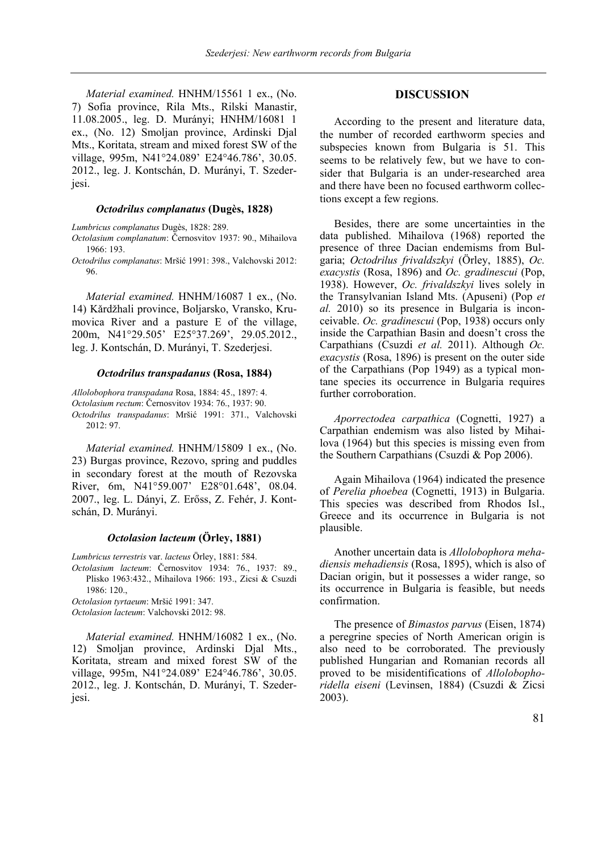*Material examined.* HNHM/15561 1 ex., (No. 7) Sofia province, Rila Mts., Rilski Manastir, 11.08.2005., leg. D. Murányi; HNHM/16081 1 ex., (No. 12) Smoljan province, Ardinski Djal Mts., Koritata, stream and mixed forest SW of the village, 995m, N41°24.089' E24°46.786', 30.05. 2012., leg. J. Kontschán, D. Murányi, T. Szederjesi.

#### *Octodrilus complanatus* **(Dugès, 1828)**

*Lumbricus complanatus* Dugès, 1828: 289.

- *Octolasium complanatum*: Černosvitov 1937: 90., Mihailova 1966: 193.
- *Octodrilus complanatus*: Mršić 1991: 398., Valchovski 2012: 96.

*Material examined.* HNHM/16087 1 ex., (No. 14) Kǎrdžhali province, Boljarsko, Vransko, Krumovica River and a pasture E of the village, 200m, N41°29.505' E25°37.269', 29.05.2012., leg. J. Kontschán, D. Murányi, T. Szederjesi.

#### *Octodrilus transpadanus* **(Rosa, 1884)**

*Allolobophora transpadana* Rosa, 1884: 45., 1897: 4. *Octolasium rectum*: Černosvitov 1934: 76., 1937: 90. *Octodrilus transpadanus*: Mršić 1991: 371., Valchovski 2012: 97.

*Material examined.* HNHM/15809 1 ex., (No. 23) Burgas province, Rezovo, spring and puddles in secondary forest at the mouth of Rezovska River, 6m, N41°59.007' E28°01.648', 08.04. 2007., leg. L. Dányi, Z. Erőss, Z. Fehér, J. Kontschán, D. Murányi.

# *Octolasion lacteum* **(Örley, 1881)**

*Lumbricus terrestris* var. *lacteus* Örley, 1881: 584.

*Octolasium lacteum*: Černosvitov 1934: 76., 1937: 89., Plisko 1963:432., Mihailova 1966: 193., Zicsi & Csuzdi 1986: 120.,

*Octolasion tyrtaeum*: Mršić 1991: 347.

*Octolasion lacteum*: Valchovski 2012: 98.

*Material examined.* HNHM/16082 1 ex., (No. 12) Smoljan province, Ardinski Djal Mts., Koritata, stream and mixed forest SW of the village, 995m, N41°24.089' E24°46.786', 30.05. 2012., leg. J. Kontschán, D. Murányi, T. Szederjesi.

### **DISCUSSION**

According to the present and literature data, the number of recorded earthworm species and subspecies known from Bulgaria is 51. This seems to be relatively few, but we have to consider that Bulgaria is an under-researched area and there have been no focused earthworm collections except a few regions.

Besides, there are some uncertainties in the data published. Mihailova (1968) reported the presence of three Dacian endemisms from Bulgaria; *Octodrilus frivaldszkyi* (Örley, 1885), *Oc. exacystis* (Rosa, 1896) and *Oc. gradinescui* (Pop, 1938). However, *Oc. frivaldszkyi* lives solely in the Transylvanian Island Mts. (Apuseni) (Pop *et al.* 2010) so its presence in Bulgaria is inconceivable. *Oc. gradinescui* (Pop, 1938) occurs only inside the Carpathian Basin and doesn't cross the Carpathians (Csuzdi *et al.* 2011). Although *Oc. exacystis* (Rosa, 1896) is present on the outer side of the Carpathians (Pop 1949) as a typical montane species its occurrence in Bulgaria requires further corroboration.

*Aporrectodea carpathica* (Cognetti, 1927) a Carpathian endemism was also listed by Mihailova (1964) but this species is missing even from the Southern Carpathians (Csuzdi & Pop 2006).

Again Mihailova (1964) indicated the presence of *Perelia phoebea* (Cognetti, 1913) in Bulgaria. This species was described from Rhodos Isl., Greece and its occurrence in Bulgaria is not plausible.

Another uncertain data is *Allolobophora mehadiensis mehadiensis* (Rosa, 1895), which is also of Dacian origin, but it possesses a wider range, so its occurrence in Bulgaria is feasible, but needs confirmation.

The presence of *Bimastos parvus* (Eisen, 1874) a peregrine species of North American origin is also need to be corroborated. The previously published Hungarian and Romanian records all proved to be misidentifications of *Allolobophoridella eiseni* (Levinsen, 1884) (Csuzdi & Zicsi 2003).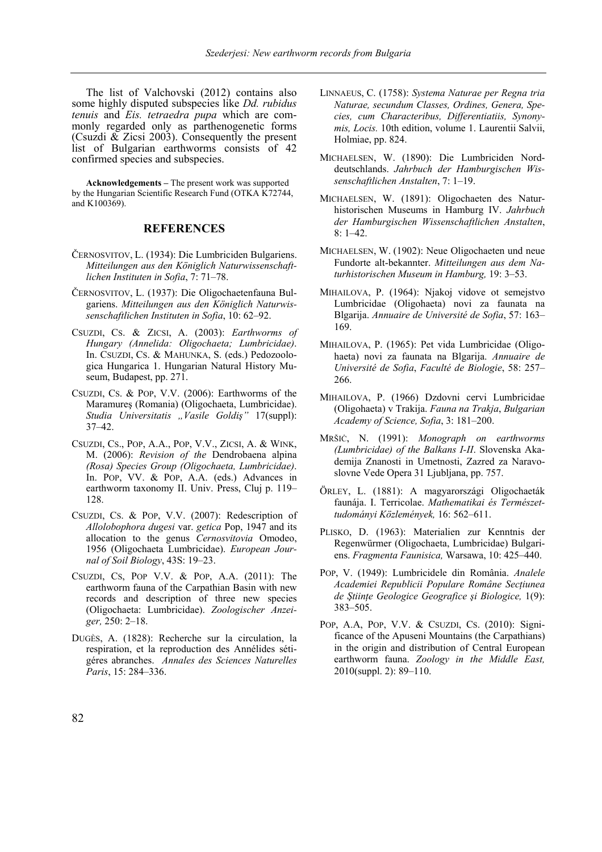The list of Valchovski (2012) contains also some highly disputed subspecies like *Dd. rubidus tenuis* and *Eis. tetraedra pupa* which are commonly regarded only as parthenogenetic forms (Csuzdi & Zicsi 2003). Consequently the present list of Bulgarian earthworms consists of 42 confirmed species and subspecies.

**Acknowledgements –** The present work was supported by the Hungarian Scientific Research Fund (OTKA K72744, and K100369).

### **REFERENCES**

- ČERNOSVITOV, L. (1934): Die Lumbriciden Bulgariens. *Mitteilungen aus den Königlich Naturwissenschaftlichen Instituten in Sofia*, 7: 71–78.
- ČERNOSVITOV, L. (1937): Die Oligochaetenfauna Bulgariens. *Mitteilungen aus den Königlich Naturwissenschaftlichen Instituten in Sofia*, 10: 62–92.
- CSUZDI, CS. & ZICSI, A. (2003): *Earthworms of Hungary (Annelida: Oligochaeta; Lumbricidae)*. In. CSUZDI, CS. & MAHUNKA, S. (eds.) Pedozoologica Hungarica 1. Hungarian Natural History Museum, Budapest, pp. 271.
- CSUZDI, CS. & POP, V.V. (2006): Earthworms of the Maramureş (Romania) (Oligochaeta, Lumbricidae). *Studia Universitatis "Vasile Goldiș"* 17(suppl): 37–42.
- CSUZDI, CS., POP, A.A., POP, V.V., ZICSI, A. & WINK, M. (2006): *Revision of the* Dendrobaena alpina *(Rosa) Species Group (Oligochaeta, Lumbricidae)*. In. POP, VV. & POP, A.A. (eds.) Advances in earthworm taxonomy II. Univ. Press, Cluj p. 119– 128.
- CSUZDI, CS. & POP, V.V. (2007): Redescription of *Allolobophora dugesi* var. *getica* Pop, 1947 and its allocation to the genus *Cernosvitovia* Omodeo, 1956 (Oligochaeta Lumbricidae). *European Journal of Soil Biology*, 43S: 19–23.
- CSUZDI, CS, POP V.V.  $&$  POP, A.A. (2011): The earthworm fauna of the Carpathian Basin with new records and description of three new species (Oligochaeta: Lumbricidae). *Zoologischer Anzeiger,* 250: 2–18.
- DUGÈS, A. (1828): Recherche sur la circulation, la respiration, et la reproduction des Annélides sétigéres abranches. *Annales des Sciences Naturelles Paris*, 15: 284–336.
- LINNAEUS, C. (1758): *Systema Naturae per Regna tria Naturae, secundum Classes, Ordines, Genera, Species, cum Characteribus, Differentiatiis, Synonymis, Locis.* 10th edition, volume 1. Laurentii Salvii, Holmiae, pp. 824.
- MICHAELSEN, W. (1890): Die Lumbriciden Norddeutschlands. *Jahrbuch der Hamburgischen Wissenschaftlichen Anstalten*, 7: 1–19.
- MICHAELSEN, W. (1891): Oligochaeten des Naturhistorischen Museums in Hamburg IV. *Jahrbuch der Hamburgischen Wissenschaftlichen Anstalten*, 8: 1–42.
- MICHAELSEN, W. (1902): Neue Oligochaeten und neue Fundorte alt-bekannter. *Mitteilungen aus dem Naturhistorischen Museum in Hamburg,* 19: 3–53.
- MIHAILOVA, P. (1964): Njakoj vidove ot semejstvo Lumbricidae (Oligohaeta) novi za faunata na Blgarija. *Annuaire de Université de Sofia*, 57: 163– 169.
- MIHAILOVA, P. (1965): Pet vida Lumbricidae (Oligohaeta) novi za faunata na Blgarija. *Annuaire de Université de Sofia*, *Faculté de Biologie*, 58: 257– 266.
- MIHAILOVA, P. (1966) Dzdovni cervi Lumbricidae (Oligohaeta) v Trakija. *Fauna na Trakja*, *Bulgarian Academy of Science, Sofia*, 3: 181–200.
- MRŠIĊ, N. (1991): *Monograph on earthworms (Lumbricidae) of the Balkans I-II*. Slovenska Akademija Znanosti in Umetnosti, Zazred za Naravoslovne Vede Opera 31 Ljubljana, pp. 757.
- ÖRLEY, L. (1881): A magyarországi Oligochaeták faunája. I. Terricolae. *Mathematikai és Természettudományi Közlemények,* 16: 562–611.
- PLISKO, D. (1963): Materialien zur Kenntnis der Regenwürmer (Oligochaeta, Lumbricidae) Bulgariens. *Fragmenta Faunisica,* Warsawa, 10: 425–440.
- POP, V. (1949): Lumbricidele din România. *Analele Academiei Republicii Populare Române Secţiunea de Ştiinţe Geologice Geografice şi Biologice,* 1(9): 383–505.
- POP, A.A, POP, V.V. & CSUZDI, CS. (2010): Significance of the Apuseni Mountains (the Carpathians) in the origin and distribution of Central European earthworm fauna. *Zoology in the Middle East,* 2010(suppl. 2): 89–110.